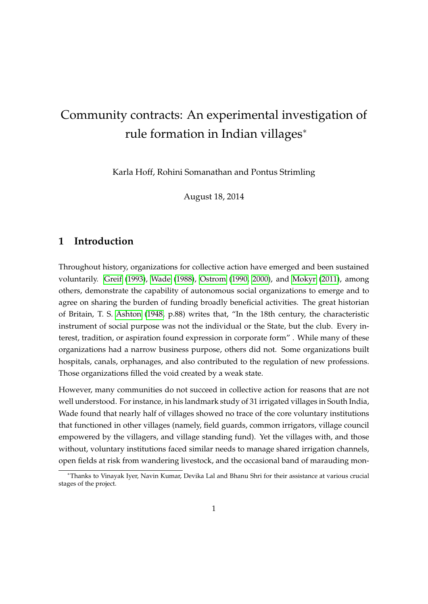# Community contracts: An experimental investigation of rule formation in Indian villages<sup>∗</sup>

Karla Hoff, Rohini Somanathan and Pontus Strimling

August 18, 2014

## **1 Introduction**

Throughout history, organizations for collective action have emerged and been sustained voluntarily. [Greif](#page-14-0) [\(1993\)](#page-14-0), [Wade](#page-14-1) [\(1988\)](#page-14-1), [Ostrom](#page-14-2) [\(1990,](#page-14-2) [2000\)](#page-14-3), and [Mokyr](#page-14-4) [\(2011\)](#page-14-4), among others, demonstrate the capability of autonomous social organizations to emerge and to agree on sharing the burden of funding broadly beneficial activities. The great historian of Britain, T. S. [Ashton](#page-14-5) [\(1948,](#page-14-5) p.88) writes that, "In the 18th century, the characteristic instrument of social purpose was not the individual or the State, but the club. Every interest, tradition, or aspiration found expression in corporate form" . While many of these organizations had a narrow business purpose, others did not. Some organizations built hospitals, canals, orphanages, and also contributed to the regulation of new professions. Those organizations filled the void created by a weak state.

However, many communities do not succeed in collective action for reasons that are not well understood. For instance, in his landmark study of 31 irrigated villages in South India, Wade found that nearly half of villages showed no trace of the core voluntary institutions that functioned in other villages (namely, field guards, common irrigators, village council empowered by the villagers, and village standing fund). Yet the villages with, and those without, voluntary institutions faced similar needs to manage shared irrigation channels, open fields at risk from wandering livestock, and the occasional band of marauding mon-

<sup>∗</sup>Thanks to Vinayak Iyer, Navin Kumar, Devika Lal and Bhanu Shri for their assistance at various crucial stages of the project.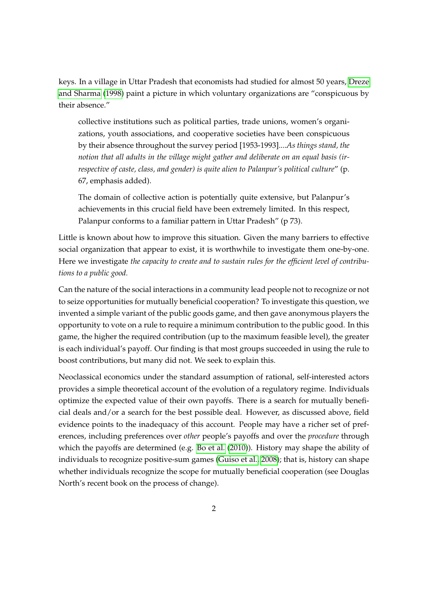keys. In a village in Uttar Pradesh that economists had studied for almost 50 years, [Dreze](#page-14-6) [and Sharma](#page-14-6) [\(1998\)](#page-14-6) paint a picture in which voluntary organizations are "conspicuous by their absence."

collective institutions such as political parties, trade unions, women's organizations, youth associations, and cooperative societies have been conspicuous by their absence throughout the survey period [1953-1993]....*As things stand, the notion that all adults in the village might gather and deliberate on an equal basis (irrespective of caste, class, and gender) is quite alien to Palanpur's political culture*" (p. 67, emphasis added).

The domain of collective action is potentially quite extensive, but Palanpur's achievements in this crucial field have been extremely limited. In this respect, Palanpur conforms to a familiar pattern in Uttar Pradesh" (p 73).

Little is known about how to improve this situation. Given the many barriers to effective social organization that appear to exist, it is worthwhile to investigate them one-by-one. Here we investigate *the capacity to create and to sustain rules for the efficient level of contributions to a public good.*

Can the nature of the social interactions in a community lead people not to recognize or not to seize opportunities for mutually beneficial cooperation? To investigate this question, we invented a simple variant of the public goods game, and then gave anonymous players the opportunity to vote on a rule to require a minimum contribution to the public good. In this game, the higher the required contribution (up to the maximum feasible level), the greater is each individual's payoff. Our finding is that most groups succeeded in using the rule to boost contributions, but many did not. We seek to explain this.

Neoclassical economics under the standard assumption of rational, self-interested actors provides a simple theoretical account of the evolution of a regulatory regime. Individuals optimize the expected value of their own payoffs. There is a search for mutually beneficial deals and/or a search for the best possible deal. However, as discussed above, field evidence points to the inadequacy of this account. People may have a richer set of preferences, including preferences over *other* people's payoffs and over the *procedure* through which the payoffs are determined (e.g. [Bo et al.](#page-14-7) [\(2010\)](#page-14-7)). History may shape the ability of individuals to recognize positive-sum games [\(Guiso et al., 2008\)](#page-14-8); that is, history can shape whether individuals recognize the scope for mutually beneficial cooperation (see Douglas North's recent book on the process of change).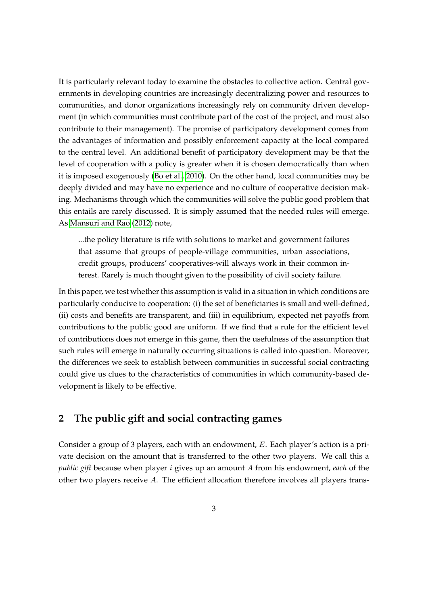It is particularly relevant today to examine the obstacles to collective action. Central governments in developing countries are increasingly decentralizing power and resources to communities, and donor organizations increasingly rely on community driven development (in which communities must contribute part of the cost of the project, and must also contribute to their management). The promise of participatory development comes from the advantages of information and possibly enforcement capacity at the local compared to the central level. An additional benefit of participatory development may be that the level of cooperation with a policy is greater when it is chosen democratically than when it is imposed exogenously [\(Bo et al., 2010\)](#page-14-7). On the other hand, local communities may be deeply divided and may have no experience and no culture of cooperative decision making. Mechanisms through which the communities will solve the public good problem that this entails are rarely discussed. It is simply assumed that the needed rules will emerge. As [Mansuri and Rao](#page-14-9) [\(2012\)](#page-14-9) note,

...the policy literature is rife with solutions to market and government failures that assume that groups of people-village communities, urban associations, credit groups, producers' cooperatives-will always work in their common interest. Rarely is much thought given to the possibility of civil society failure.

In this paper, we test whether this assumption is valid in a situation in which conditions are particularly conducive to cooperation: (i) the set of beneficiaries is small and well-defined, (ii) costs and benefits are transparent, and (iii) in equilibrium, expected net payoffs from contributions to the public good are uniform. If we find that a rule for the efficient level of contributions does not emerge in this game, then the usefulness of the assumption that such rules will emerge in naturally occurring situations is called into question. Moreover, the differences we seek to establish between communities in successful social contracting could give us clues to the characteristics of communities in which community-based development is likely to be effective.

# **2 The public gift and social contracting games**

Consider a group of 3 players, each with an endowment, E. Each player's action is a private decision on the amount that is transferred to the other two players. We call this a *public gift* because when player i gives up an amount A from his endowment, *each* of the other two players receive A. The efficient allocation therefore involves all players trans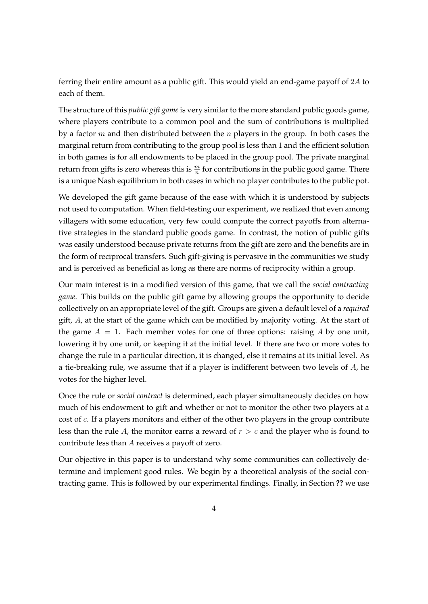ferring their entire amount as a public gift. This would yield an end-game payoff of 2A to each of them.

The structure of this *public gift game*is very similar to the more standard public goods game, where players contribute to a common pool and the sum of contributions is multiplied by a factor  $m$  and then distributed between the  $n$  players in the group. In both cases the marginal return from contributing to the group pool is less than 1 and the efficient solution in both games is for all endowments to be placed in the group pool. The private marginal return from gifts is zero whereas this is  $\frac{m}{n}$  for contributions in the public good game. There is a unique Nash equilibrium in both cases in which no player contributes to the public pot.

We developed the gift game because of the ease with which it is understood by subjects not used to computation. When field-testing our experiment, we realized that even among villagers with some education, very few could compute the correct payoffs from alternative strategies in the standard public goods game. In contrast, the notion of public gifts was easily understood because private returns from the gift are zero and the benefits are in the form of reciprocal transfers. Such gift-giving is pervasive in the communities we study and is perceived as beneficial as long as there are norms of reciprocity within a group.

Our main interest is in a modified version of this game, that we call the *social contracting game*. This builds on the public gift game by allowing groups the opportunity to decide collectively on an appropriate level of the gift. Groups are given a default level of a *required* gift, A, at the start of the game which can be modified by majority voting. At the start of the game  $A = 1$ . Each member votes for one of three options: raising A by one unit, lowering it by one unit, or keeping it at the initial level. If there are two or more votes to change the rule in a particular direction, it is changed, else it remains at its initial level. As a tie-breaking rule, we assume that if a player is indifferent between two levels of  $A$ , he votes for the higher level.

Once the rule or *social contract* is determined, each player simultaneously decides on how much of his endowment to gift and whether or not to monitor the other two players at a cost of c. If a players monitors and either of the other two players in the group contribute less than the rule A, the monitor earns a reward of  $r > c$  and the player who is found to contribute less than A receives a payoff of zero.

Our objective in this paper is to understand why some communities can collectively determine and implement good rules. We begin by a theoretical analysis of the social contracting game. This is followed by our experimental findings. Finally, in Section **??** we use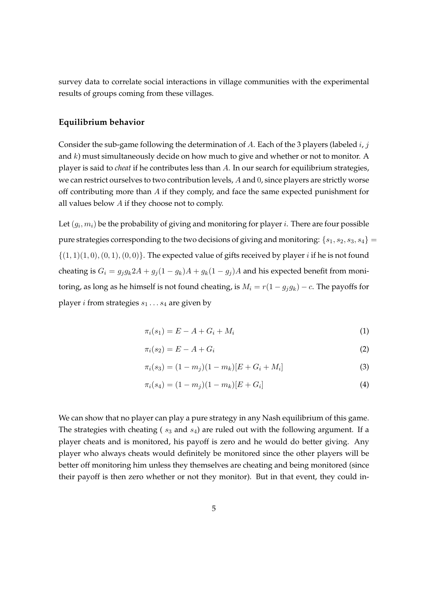survey data to correlate social interactions in village communities with the experimental results of groups coming from these villages.

### **Equilibrium behavior**

Consider the sub-game following the determination of A. Each of the 3 players (labeled  $i, j$ and  $k$ ) must simultaneously decide on how much to give and whether or not to monitor. A player is said to *cheat* if he contributes less than A. In our search for equilibrium strategies, we can restrict ourselves to two contribution levels, A and 0, since players are strictly worse off contributing more than A if they comply, and face the same expected punishment for all values below A if they choose not to comply.

Let  $(g_i, m_i)$  be the probability of giving and monitoring for player  $i$ . There are four possible pure strategies corresponding to the two decisions of giving and monitoring:  $\{s_1, s_2, s_3, s_4\}$  =  $\{(1, 1)(1, 0), (0, 1), (0, 0)\}.$  The expected value of gifts received by player *i* if he is not found cheating is  $G_i = g_i g_k 2A + g_i (1 - g_k)A + g_k (1 - g_j)A$  and his expected benefit from monitoring, as long as he himself is not found cheating, is  $M_i = r(1 - g_j g_k) - c$ . The payoffs for player *i* from strategies  $s_1 \ldots s_4$  are given by

<span id="page-4-0"></span>
$$
\pi_i(s_1) = E - A + G_i + M_i \tag{1}
$$

<span id="page-4-1"></span>
$$
\pi_i(s_2) = E - A + G_i \tag{2}
$$

$$
\pi_i(s_3) = (1 - m_j)(1 - m_k)[E + G_i + M_i]
$$
\n(3)

$$
\pi_i(s_4) = (1 - m_j)(1 - m_k)[E + G_i]
$$
\n(4)

We can show that no player can play a pure strategy in any Nash equilibrium of this game. The strategies with cheating ( $s_3$  and  $s_4$ ) are ruled out with the following argument. If a player cheats and is monitored, his payoff is zero and he would do better giving. Any player who always cheats would definitely be monitored since the other players will be better off monitoring him unless they themselves are cheating and being monitored (since their payoff is then zero whether or not they monitor). But in that event, they could in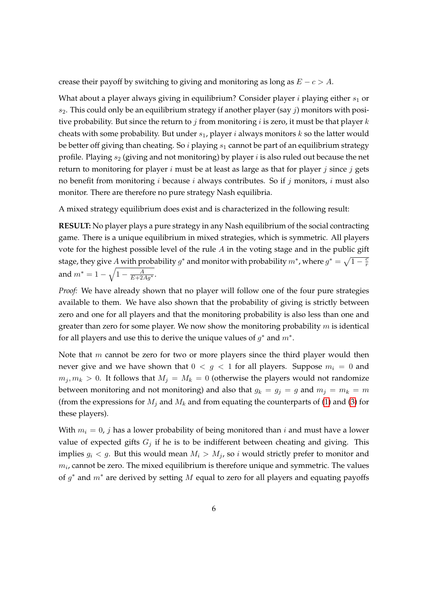crease their payoff by switching to giving and monitoring as long as  $E - c > A$ .

What about a player always giving in equilibrium? Consider player  $i$  playing either  $s<sub>1</sub>$  or  $s_2$ . This could only be an equilibrium strategy if another player (say j) monitors with positive probability. But since the return to  $j$  from monitoring  $i$  is zero, it must be that player  $k$ cheats with some probability. But under  $s_1$ , player *i* always monitors *k* so the latter would be better off giving than cheating. So i playing  $s_1$  cannot be part of an equilibrium strategy profile. Playing  $s_2$  (giving and not monitoring) by player *i* is also ruled out because the net return to monitoring for player  $i$  must be at least as large as that for player  $j$  since  $j$  gets no benefit from monitoring  $i$  because  $i$  always contributes. So if  $j$  monitors,  $i$  must also monitor. There are therefore no pure strategy Nash equilibria.

A mixed strategy equilibrium does exist and is characterized in the following result:

**RESULT:** No player plays a pure strategy in any Nash equilibrium of the social contracting game. There is a unique equilibrium in mixed strategies, which is symmetric. All players vote for the highest possible level of the rule  $A$  in the voting stage and in the public gift stage, they give A with probability  $g^*$  and monitor with probability  $m^*$ , where  $g^* = \sqrt{1 - \frac{c}{n}}$ r and  $m^* = 1 - \sqrt{1 - \frac{A}{E + 2Ag^*}}$ .

*Proof:* We have already shown that no player will follow one of the four pure strategies available to them. We have also shown that the probability of giving is strictly between zero and one for all players and that the monitoring probability is also less than one and greater than zero for some player. We now show the monitoring probability  $m$  is identical for all players and use this to derive the unique values of  $g^*$  and  $m^*$ .

Note that  $m$  cannot be zero for two or more players since the third player would then never give and we have shown that  $0 < g < 1$  for all players. Suppose  $m_i = 0$  and  $m_j, m_k > 0$ . It follows that  $M_j = M_k = 0$  (otherwise the players would not randomize between monitoring and not monitoring) and also that  $g_k = g_j = g$  and  $m_j = m_k = m$ (from the expressions for  $M_j$  and  $M_k$  and from equating the counterparts of [\(1\)](#page-4-0) and [\(3\)](#page-4-1) for these players).

With  $m_i = 0$ , *j* has a lower probability of being monitored than *i* and must have a lower value of expected gifts  $G_j$  if he is to be indifferent between cheating and giving. This implies  $g_i < g$ . But this would mean  $M_i > M_j$ , so i would strictly prefer to monitor and  $m_i$ , cannot be zero. The mixed equilibrium is therefore unique and symmetric. The values of  $g^*$  and  $m^*$  are derived by setting M equal to zero for all players and equating payoffs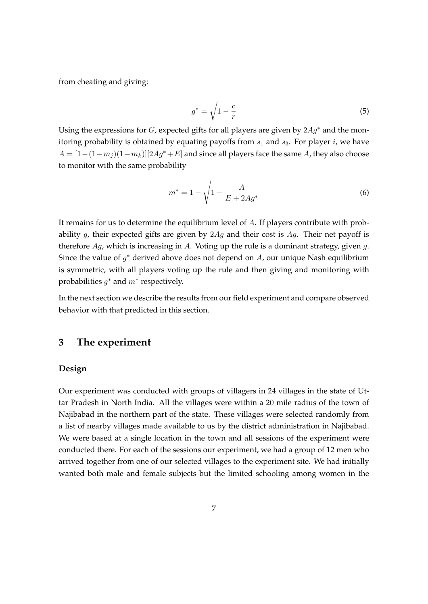from cheating and giving:

$$
g^* = \sqrt{1 - \frac{c}{r}}\tag{5}
$$

Using the expressions for G, expected gifts for all players are given by  $2Ag^*$  and the monitoring probability is obtained by equating payoffs from  $s_1$  and  $s_3$ . For player i, we have  $A = [1-(1-m_i)(1-m_k)][2Ag^*+E]$  and since all players face the same A, they also choose to monitor with the same probability

$$
m^* = 1 - \sqrt{1 - \frac{A}{E + 2Ag^*}}
$$
 (6)

It remains for us to determine the equilibrium level of A. If players contribute with probability g, their expected gifts are given by  $2Ag$  and their cost is  $Ag$ . Their net payoff is therefore  $Ag$ , which is increasing in A. Voting up the rule is a dominant strategy, given  $g$ . Since the value of  $g^*$  derived above does not depend on A, our unique Nash equilibrium is symmetric, with all players voting up the rule and then giving and monitoring with probabilities  $g^*$  and  $m^*$  respectively.

In the next section we describe the results from our field experiment and compare observed behavior with that predicted in this section.

# **3 The experiment**

#### **Design**

Our experiment was conducted with groups of villagers in 24 villages in the state of Uttar Pradesh in North India. All the villages were within a 20 mile radius of the town of Najibabad in the northern part of the state. These villages were selected randomly from a list of nearby villages made available to us by the district administration in Najibabad. We were based at a single location in the town and all sessions of the experiment were conducted there. For each of the sessions our experiment, we had a group of 12 men who arrived together from one of our selected villages to the experiment site. We had initially wanted both male and female subjects but the limited schooling among women in the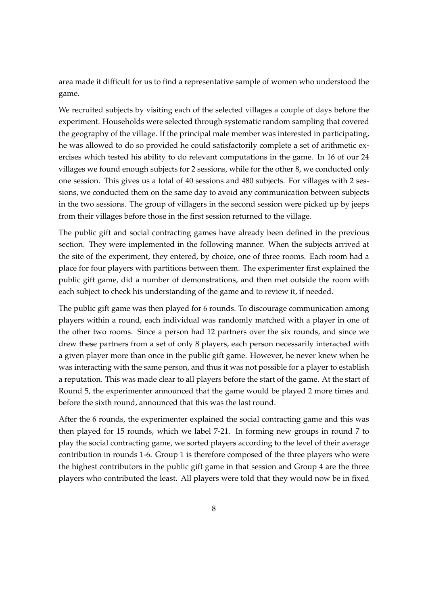area made it difficult for us to find a representative sample of women who understood the game.

We recruited subjects by visiting each of the selected villages a couple of days before the experiment. Households were selected through systematic random sampling that covered the geography of the village. If the principal male member was interested in participating, he was allowed to do so provided he could satisfactorily complete a set of arithmetic exercises which tested his ability to do relevant computations in the game. In 16 of our 24 villages we found enough subjects for 2 sessions, while for the other 8, we conducted only one session. This gives us a total of 40 sessions and 480 subjects. For villages with 2 sessions, we conducted them on the same day to avoid any communication between subjects in the two sessions. The group of villagers in the second session were picked up by jeeps from their villages before those in the first session returned to the village.

The public gift and social contracting games have already been defined in the previous section. They were implemented in the following manner. When the subjects arrived at the site of the experiment, they entered, by choice, one of three rooms. Each room had a place for four players with partitions between them. The experimenter first explained the public gift game, did a number of demonstrations, and then met outside the room with each subject to check his understanding of the game and to review it, if needed.

The public gift game was then played for 6 rounds. To discourage communication among players within a round, each individual was randomly matched with a player in one of the other two rooms. Since a person had 12 partners over the six rounds, and since we drew these partners from a set of only 8 players, each person necessarily interacted with a given player more than once in the public gift game. However, he never knew when he was interacting with the same person, and thus it was not possible for a player to establish a reputation. This was made clear to all players before the start of the game. At the start of Round 5, the experimenter announced that the game would be played 2 more times and before the sixth round, announced that this was the last round.

After the 6 rounds, the experimenter explained the social contracting game and this was then played for 15 rounds, which we label 7-21. In forming new groups in round 7 to play the social contracting game, we sorted players according to the level of their average contribution in rounds 1-6. Group 1 is therefore composed of the three players who were the highest contributors in the public gift game in that session and Group 4 are the three players who contributed the least. All players were told that they would now be in fixed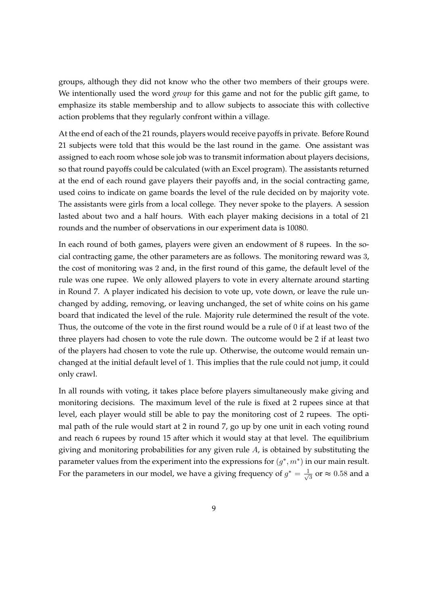groups, although they did not know who the other two members of their groups were. We intentionally used the word *group* for this game and not for the public gift game, to emphasize its stable membership and to allow subjects to associate this with collective action problems that they regularly confront within a village.

At the end of each of the 21 rounds, players would receive payoffs in private. Before Round 21 subjects were told that this would be the last round in the game. One assistant was assigned to each room whose sole job was to transmit information about players decisions, so that round payoffs could be calculated (with an Excel program). The assistants returned at the end of each round gave players their payoffs and, in the social contracting game, used coins to indicate on game boards the level of the rule decided on by majority vote. The assistants were girls from a local college. They never spoke to the players. A session lasted about two and a half hours. With each player making decisions in a total of 21 rounds and the number of observations in our experiment data is 10080.

In each round of both games, players were given an endowment of 8 rupees. In the social contracting game, the other parameters are as follows. The monitoring reward was 3, the cost of monitoring was 2 and, in the first round of this game, the default level of the rule was one rupee. We only allowed players to vote in every alternate around starting in Round 7. A player indicated his decision to vote up, vote down, or leave the rule unchanged by adding, removing, or leaving unchanged, the set of white coins on his game board that indicated the level of the rule. Majority rule determined the result of the vote. Thus, the outcome of the vote in the first round would be a rule of 0 if at least two of the three players had chosen to vote the rule down. The outcome would be 2 if at least two of the players had chosen to vote the rule up. Otherwise, the outcome would remain unchanged at the initial default level of 1. This implies that the rule could not jump, it could only crawl.

In all rounds with voting, it takes place before players simultaneously make giving and monitoring decisions. The maximum level of the rule is fixed at 2 rupees since at that level, each player would still be able to pay the monitoring cost of 2 rupees. The optimal path of the rule would start at 2 in round 7, go up by one unit in each voting round and reach 6 rupees by round 15 after which it would stay at that level. The equilibrium giving and monitoring probabilities for any given rule  $A$ , is obtained by substituting the parameter values from the experiment into the expressions for  $(g^*, m^*)$  in our main result. For the parameters in our model, we have a giving frequency of  $g^* = \frac{1}{\sqrt{2}}$  $\frac{1}{3}$  or  $\approx 0.58$  and a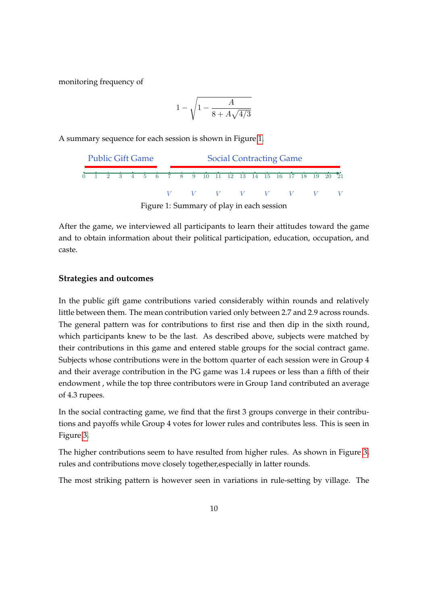monitoring frequency of

$$
1-\sqrt{1-\frac{A}{8+A\sqrt{4/3}}}
$$

A summary sequence for each session is shown in Figure [1.](#page-9-0)

<span id="page-9-0"></span>

| <b>Public Gift Game</b> |                                                                      |  |  |  | <b>Social Contracting Game</b> |                                           |  |  |  |  |  |  |  |  |  |  |                                 |  |  |
|-------------------------|----------------------------------------------------------------------|--|--|--|--------------------------------|-------------------------------------------|--|--|--|--|--|--|--|--|--|--|---------------------------------|--|--|
|                         | $\overline{0}$ 1 2 3 4 5 6 7 8 9 10 11 12 13 14 15 16 17 18 19 20 21 |  |  |  |                                |                                           |  |  |  |  |  |  |  |  |  |  |                                 |  |  |
|                         |                                                                      |  |  |  |                                |                                           |  |  |  |  |  |  |  |  |  |  | $V$ $V$ $V$ $V$ $V$ $V$ $V$ $V$ |  |  |
|                         |                                                                      |  |  |  |                                | Figure 1: Summary of play in each session |  |  |  |  |  |  |  |  |  |  |                                 |  |  |

After the game, we interviewed all participants to learn their attitudes toward the game and to obtain information about their political participation, education, occupation, and caste.

#### **Strategies and outcomes**

In the public gift game contributions varied considerably within rounds and relatively little between them. The mean contribution varied only between 2.7 and 2.9 across rounds. The general pattern was for contributions to first rise and then dip in the sixth round, which participants knew to be the last. As described above, subjects were matched by their contributions in this game and entered stable groups for the social contract game. Subjects whose contributions were in the bottom quarter of each session were in Group 4 and their average contribution in the PG game was 1.4 rupees or less than a fifth of their endowment , while the top three contributors were in Group 1and contributed an average of 4.3 rupees.

In the social contracting game, we find that the first 3 groups converge in their contributions and payoffs while Group 4 votes for lower rules and contributes less. This is seen in Figure [3.](#page-10-0)

The higher contributions seem to have resulted from higher rules. As shown in Figure [3,](#page-10-1) rules and contributions move closely together,especially in latter rounds.

The most striking pattern is however seen in variations in rule-setting by village. The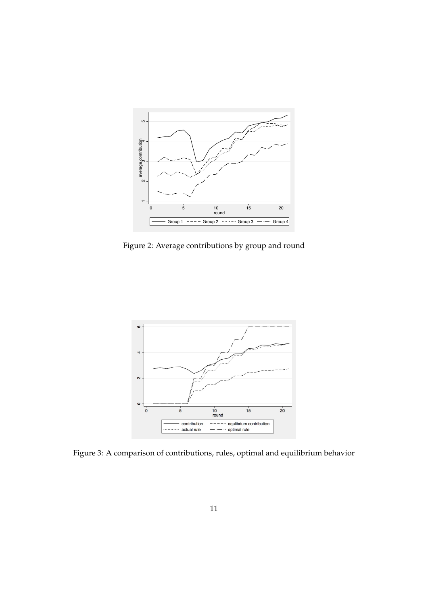

<span id="page-10-0"></span>Figure 2: Average contributions by group and round



<span id="page-10-1"></span>Figure 3: A comparison of contributions, rules, optimal and equilibrium behavior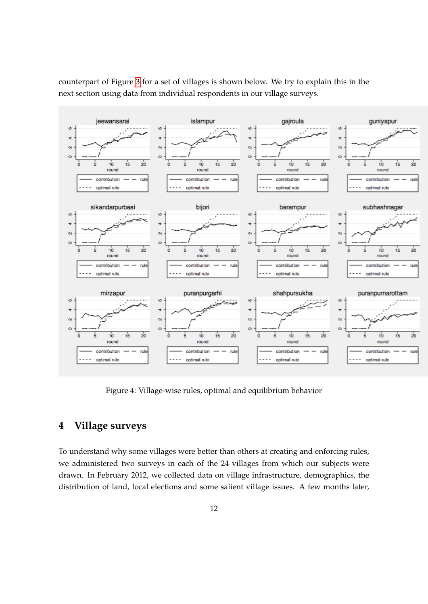

counterpart of Figure [3](#page-10-1) for a set of villages is shown below. We try to explain this in the next section using data from individual respondents in our village surveys.

Figure 4: Village-wise rules, optimal and equilibrium behavior

# **4 Village surveys**

To understand why some villages were better than others at creating and enforcing rules, we administered two surveys in each of the 24 villages from which our subjects were drawn. In February 2012, we collected data on village infrastructure, demographics, the distribution of land, local elections and some salient village issues. A few months later,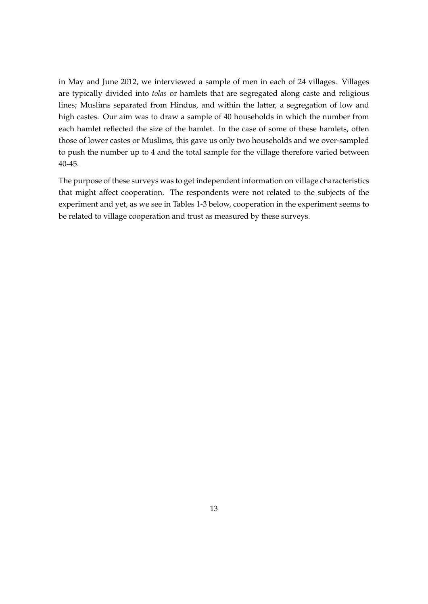in May and June 2012, we interviewed a sample of men in each of 24 villages. Villages are typically divided into *tolas* or hamlets that are segregated along caste and religious lines; Muslims separated from Hindus, and within the latter, a segregation of low and high castes. Our aim was to draw a sample of 40 households in which the number from each hamlet reflected the size of the hamlet. In the case of some of these hamlets, often those of lower castes or Muslims, this gave us only two households and we over-sampled to push the number up to 4 and the total sample for the village therefore varied between 40-45.

The purpose of these surveys was to get independent information on village characteristics that might affect cooperation. The respondents were not related to the subjects of the experiment and yet, as we see in Tables 1-3 below, cooperation in the experiment seems to be related to village cooperation and trust as measured by these surveys.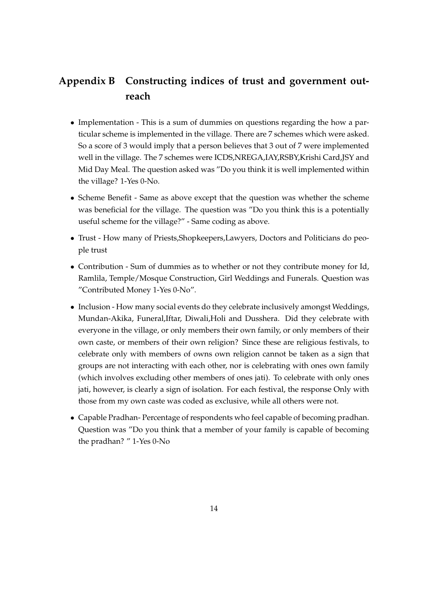# **Appendix B Constructing indices of trust and government outreach**

- Implementation This is a sum of dummies on questions regarding the how a particular scheme is implemented in the village. There are 7 schemes which were asked. So a score of 3 would imply that a person believes that 3 out of 7 were implemented well in the village. The 7 schemes were ICDS,NREGA,IAY,RSBY,Krishi Card,JSY and Mid Day Meal. The question asked was "Do you think it is well implemented within the village? 1-Yes 0-No.
- Scheme Benefit Same as above except that the question was whether the scheme was beneficial for the village. The question was "Do you think this is a potentially useful scheme for the village?" - Same coding as above.
- Trust How many of Priests,Shopkeepers,Lawyers, Doctors and Politicians do people trust
- Contribution Sum of dummies as to whether or not they contribute money for Id, Ramlila, Temple/Mosque Construction, Girl Weddings and Funerals. Question was "Contributed Money 1-Yes 0-No".
- Inclusion How many social events do they celebrate inclusively amongst Weddings, Mundan-Akika, Funeral,Iftar, Diwali,Holi and Dusshera. Did they celebrate with everyone in the village, or only members their own family, or only members of their own caste, or members of their own religion? Since these are religious festivals, to celebrate only with members of owns own religion cannot be taken as a sign that groups are not interacting with each other, nor is celebrating with ones own family (which involves excluding other members of ones jati). To celebrate with only ones jati, however, is clearly a sign of isolation. For each festival, the response Only with those from my own caste was coded as exclusive, while all others were not.
- Capable Pradhan- Percentage of respondents who feel capable of becoming pradhan. Question was "Do you think that a member of your family is capable of becoming the pradhan? " 1-Yes 0-No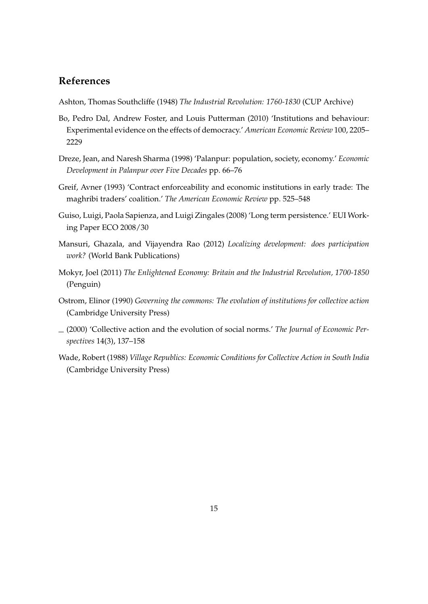# **References**

<span id="page-14-5"></span>Ashton, Thomas Southcliffe (1948) *The Industrial Revolution: 1760-1830* (CUP Archive)

- <span id="page-14-7"></span>Bo, Pedro Dal, Andrew Foster, and Louis Putterman (2010) 'Institutions and behaviour: Experimental evidence on the effects of democracy.' *American Economic Review* 100, 2205– 2229
- <span id="page-14-6"></span>Dreze, Jean, and Naresh Sharma (1998) 'Palanpur: population, society, economy.' *Economic Development in Palanpur over Five Decades* pp. 66–76
- <span id="page-14-0"></span>Greif, Avner (1993) 'Contract enforceability and economic institutions in early trade: The maghribi traders' coalition.' *The American Economic Review* pp. 525–548
- <span id="page-14-8"></span>Guiso, Luigi, Paola Sapienza, and Luigi Zingales (2008) 'Long term persistence.' EUI Working Paper ECO 2008/30
- <span id="page-14-9"></span>Mansuri, Ghazala, and Vijayendra Rao (2012) *Localizing development: does participation work?* (World Bank Publications)
- <span id="page-14-4"></span>Mokyr, Joel (2011) *The Enlightened Economy: Britain and the Industrial Revolution, 1700-1850* (Penguin)
- <span id="page-14-2"></span>Ostrom, Elinor (1990) *Governing the commons: The evolution of institutions for collective action* (Cambridge University Press)
- <span id="page-14-3"></span>(2000) 'Collective action and the evolution of social norms.' *The Journal of Economic Perspectives* 14(3), 137–158
- <span id="page-14-1"></span>Wade, Robert (1988) *Village Republics: Economic Conditions for Collective Action in South India* (Cambridge University Press)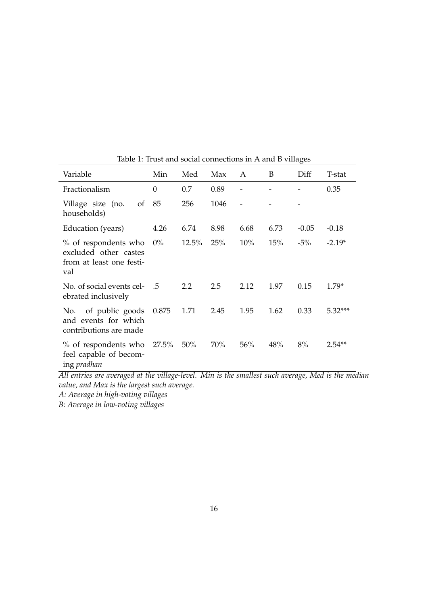| Variable                                                                         | Min      | Med      | Max  | A    | B    | Diff    | T-stat    |
|----------------------------------------------------------------------------------|----------|----------|------|------|------|---------|-----------|
| Fractionalism                                                                    | $\theta$ | 0.7      | 0.89 |      |      |         | 0.35      |
| Village size (no.<br>of<br>households)                                           | 85       | 256      | 1046 |      |      |         |           |
| Education (years)                                                                | 4.26     | 6.74     | 8.98 | 6.68 | 6.73 | $-0.05$ | $-0.18$   |
| % of respondents who<br>excluded other castes<br>from at least one festi-<br>val | $0\%$    | $12.5\%$ | 25%  | 10%  | 15%  | $-5\%$  | $-2.19*$  |
| No. of social events cel-<br>ebrated inclusively                                 | .5       | 2.2      | 2.5  | 2.12 | 1.97 | 0.15    | $1.79*$   |
| of public goods<br>No.<br>and events for which<br>contributions are made         | 0.875    | 1.71     | 2.45 | 1.95 | 1.62 | 0.33    | $5.32***$ |
| $%$ of respondents who 27.5%<br>feel capable of becom-<br>ing <i>pradhan</i>     |          | 50%      | 70%  | 56%  | 48%  | 8%      | $2.54**$  |

Table 1: Trust and social connections in A and B villages

*All entries are averaged at the village-level. Min is the smallest such average, Med is the median value, and Max is the largest such average.*

*A: Average in high-voting villages*

*B: Average in low-voting villages*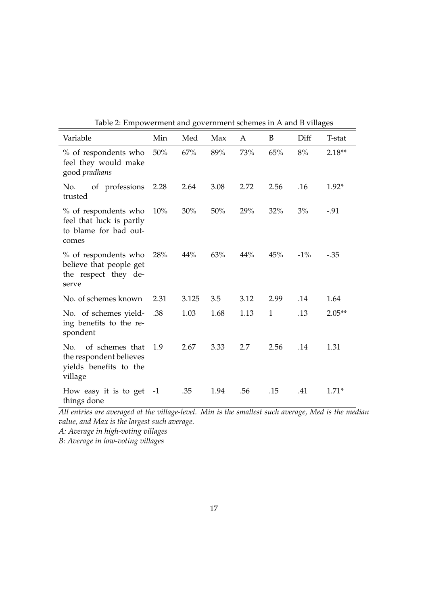| Variable                                                                               | Min    | Med   | Max  | A    | B            | Diff   | T-stat   |
|----------------------------------------------------------------------------------------|--------|-------|------|------|--------------|--------|----------|
| % of respondents who<br>feel they would make<br>good pradhans                          | $50\%$ | 67%   | 89%  | 73%  | 65%          | 8%     | $2.18**$ |
| of professions 2.28<br>No.<br>trusted                                                  |        | 2.64  | 3.08 | 2.72 | 2.56         | .16    | $1.92*$  |
| % of respondents who<br>feel that luck is partly<br>to blame for bad out-<br>comes     | $10\%$ | 30%   | 50%  | 29%  | 32%          | 3%     | $-.91$   |
| % of respondents who 28%<br>believe that people get<br>the respect they de-<br>serve   |        | 44%   | 63%  | 44%  | 45%          | $-1\%$ | $-.35$   |
| No. of schemes known                                                                   | 2.31   | 3.125 | 3.5  | 3.12 | 2.99         | .14    | 1.64     |
| No. of schemes yield-<br>ing benefits to the re-<br>spondent                           | .38    | 1.03  | 1.68 | 1.13 | $\mathbf{1}$ | .13    | $2.05**$ |
| of schemes that<br>No.<br>the respondent believes<br>yields benefits to the<br>village | 1.9    | 2.67  | 3.33 | 2.7  | 2.56         | .14    | 1.31     |
| How easy it is to get $-1$<br>things done                                              |        | .35   | 1.94 | .56  | .15          | .41    | $1.71*$  |

Table 2: Empowerment and government schemes in A and B villages

*All entries are averaged at the village-level. Min is the smallest such average, Med is the median value, and Max is the largest such average.*

*A: Average in high-voting villages*

*B: Average in low-voting villages*